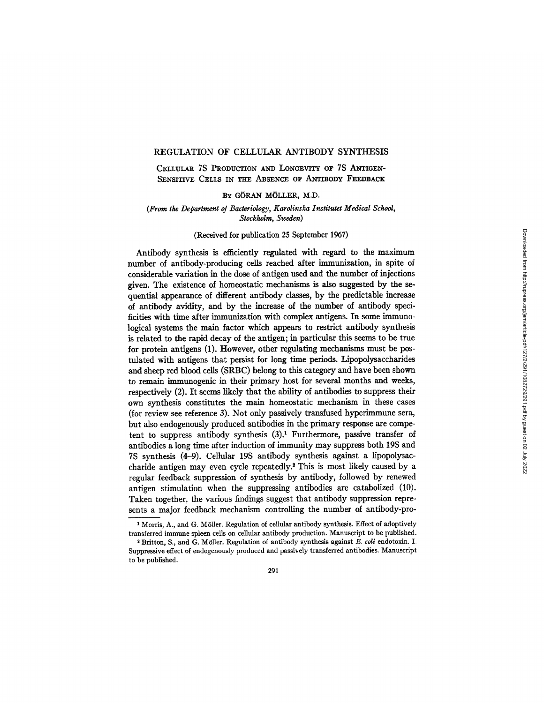# REGULATION OF CELLULAR ANTIBODY SYNTHESIS

CELLIrLAR 7S PRODUCTION AND LONGEVITY OF 7S ANTIGEN-SENSITIVE CELLS IN THE ABSENCE OF ANTIBODY FEEDBACK

## BY GORAN MOLLER, M.D.

*(From the Department oJ Bacteriology, Karolinska Instituter Medical School, Stockholm, Sweden)* 

# (Received for publication 25 September 1967)

Antibody synthesis is efficiently regulated with regard to the maximum number of antibody-producing cells reached after immunization, in spite of considerable variation in the dose of antigen used and the number of injections given. The existence of homeostatic mechanisms is also suggested by the sequential appearance of different antibody classes, by the predictable increase of antibody avidity, and by the increase of the number of antibody specificities with time after immunization with complex antigens. In some immunological systems the main factor which appears to restrict antibody synthesis is related to the rapid decay of the antigen; in particular this seems to be true for protein antigens  $(1)$ . However, other regulating mechanisms must be postulated with antigens that persist for long time periods. Lipopolysaccharides and sheep red blood cells (SRBC) belong to this category and have been shown to remain immunogenic in their primary host for several months and weeks, respectively (2). It seems likely that the ability of antibodies to suppress their own synthesis constitutes the main homeostatic mechanism in these cases (for review see reference 3). Not only passively transfused hyperimmune sera, but also endogenously produced antibodies in the primary response are competent to suppress antibody synthesis  $(3)$ .<sup>1</sup> Furthermore, passive transfer of antibodies a long time after induction of immunity may suppress both 19S and 7S synthesis (4-9). Cellular 19S antibody synthesis against a lipopolysaccharide antigen may even cycle repeatedly.<sup>2</sup> This is most likely caused by a regular feedback suppression of synthesis by antibody, followed by renewed antigen stimulation when the suppressing antibodies are catabolized (10). Taken together, the various findings suggest that antibody suppression represents a major feedback mechanism controlling the number of antibody-pro-

291

<sup>&</sup>lt;sup>1</sup> Morris, A., and G. Möller. Regulation of cellular antibody synthesis. Effect of adoptively transferred immune spleen cells on cellular antibody production. Manuscript to be published.

<sup>2</sup> Britton, S., and G. M611er. Regulation of antibody synthesis against *E. coli* endotoxin. I. Suppressive effect of endogenously produced and passively transferred antibodies. Manuscript to be published.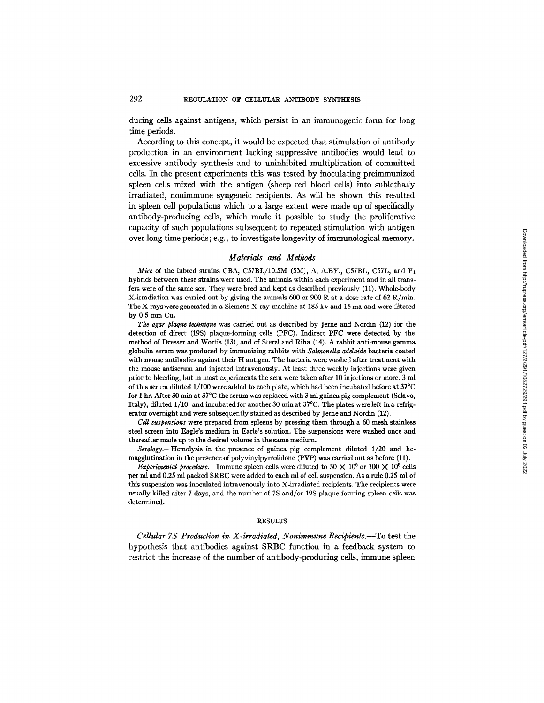ducing cells against antigens, which persist in an immunogenic form for long time periods.

According to this concept, it would be expected that stimulation of antibody production in an environment lacking suppressive antibodies would lead to excessive antibody synthesis and to uninhibited multiplication of committed cells. In the present experiments this was tested by inoculating preimmunized spleen cells mixed with the antigen (sheep red blood cells) into sublethally irradiated, nonimmune syngeneic recipients. As will be shown this resulted in spleen cell populations which to a large extent were made up of specifically antibody-producing cells, which made it possible to study the proliferative capacity of such populations subsequent to repeated stimulation with antigen over long time periods; e.g., to investigate longevity of immunological memory.

### *Materials and Methods*

*Mice* of the inbred strains CBA, C57BL/10.5M (5M), A, A.BY., C57BL, C57L, and F<sub>1</sub> hybrids between these strains were used. The animals within each experiment and in all transfers were of the same sex. They were bred and kept as described previously (11). Whole-body X-irradiation was carried out by giving the animals 600 or 900 R at a dose rate of 62 R/min. The X-rayswere generated in a Siemens X-ray machine at 185 kv and 15 ma and were filtered by 0.5 mm Cu.

*The agar plaque technique* was carried out as described by Jerne and Nordin (12) for the detection of direct (19S) plaque-forming cells (PFC). Indirect PFC were detected by the method of Dresser and Wortis (13), and of Sterzl and Riha (14). A rabbit anti-mouse gamma globulin serum was produced by immunizing rabbits with *Salmonella addaide* bacteria coated with mouse antibodies against their H antigen. The bacteria were washed after treatment with the mouse antiserum and injected intravenously. At least three weekly injections were given prior to bleeding, but in most experiments the sera were taken after 10 injections or more. 3 ml of this serum diluted 1/100 were added to each plate, which had been incubated before at 37°C for 1 hr. After 30 min at  $37^{\circ}$ C the serum was replaced with 3 ml guinea pig complement (Sclavo, Italy), diluted 1/10, and incubated for another 30 min at  $37^{\circ}$ C. The plates were left in a refrigerator overnight and were subsequently stained as described by Jerne and Nordin (12).

*Cell suspensions* were prepared from spleens by pressing them through a 60 mesh stainless steel screen into Eagle's medium in Earle's solution. The suspensions were washed once and thereafter made up to the desired volume in the same medium.

*Serology.--Hemolysis in* the presence of guinea pig complement diluted *1/20* and hemagglutination in the presence of polyvinylpyrrolidone (PVP) was carried out as before (11).

*Experimental procedure.*—Immune spleen cells were diluted to 50  $\times$  10<sup>6</sup> or 100  $\times$  10<sup>6</sup> cells per ml and 0.25 ml packed SRBC were added to each ml of cell suspension. As a rule 0.25 ml of this suspension was inoculated intravenously into X-irradiated recipients. The recipients were usually killed after 7 days, and the number of 7S and/or 19S plaque-forming spleen cells was determined.

#### **RESULTS**

*Cellular 7S Production in X-irradiated, Nonimmune Recipients.--To* **test the hypothesis that antibodies against SRBC function in a feedback system to restrict the increase of the number of antibody-producing cells, immune spleen**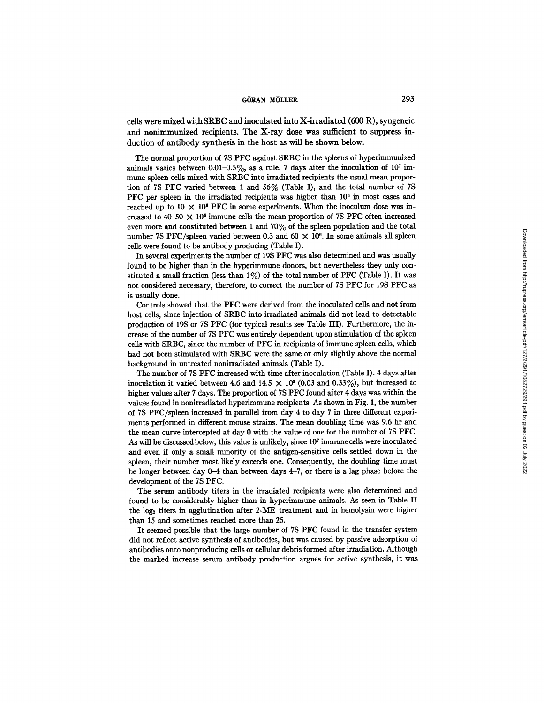cells were mixed with SRBC and inoculated into X-irradiated  $(600 \text{ R})$ , syngeneic and nonimmunized recipients. The X-ray dose was sufficient to suppress induction of antibody synthesis in the host as will be shown below.

The normal proportion of 7S PFC against SRBC in the spleens of hyperimmunized animals varies between  $0.01 - 0.5\%$ , as a rule. 7 days after the inoculation of 10<sup>7</sup> immune spleen cells mixed with SRBC into irradiated recipients the usual mean proportion of 7S PFC varied between 1 and 56% (Table I), and the total number of 7S PFC per spleen in the irradiated recipients was higher than  $10<sup>6</sup>$  in most cases and reached up to  $10 \times 10^6$  PFC in some experiments. When the inoculum dose was increased to  $40-50 \times 10^6$  immune cells the mean proportion of 7S PFC often increased even more and constituted between 1 and 70% of the spleen population and the total number 7S PFC/spleen varied between 0.3 and 60  $\times$  10<sup>6</sup>. In some animals all spleen cells were found to be antibody producing (Table I).

In several experiments the number of 19S PFC was also determined and was usually found to be higher than in the hyperimmune donors, but nevertheless they only constituted a small fraction (less than  $1\%$ ) of the total number of PFC (Table I). It was not considered necessary, therefore, to correct the number of 7S PFC for 19S PFC as is usually done.

Controls showed that the PFC were derived from the inoculated ceils and not from host ceils, since injection of SRBC into irradiated animals did not lead to detectable production of 19S or 7S PFC (for typical results see Table III). Furthermore, the increase of the number of 7S PFC was entirely dependent upon stimulation of the spleen cells with SRBC, since the number of PFC in recipients of immune spleen ceils, which had not been stimulated with SRBC were the same or only slightly above the normal background in untreated nonirradiated animals (Table I).

The number of 7S PFC increased with time after inoculation (Table I). 4 days after inoculation it varied between 4.6 and  $14.5 \times 10^8$  (0.03 and 0.33%), but increased to higher values after 7 days. The proportion of 7S PFC found after 4 days was within the values found in nonirradiated hyperimmune recipients. As shown in Fig. 1, the number of 7S PFC/spleen increased in parallel from day 4 to day 7 in three different experiments performed in different mouse strains. The mean doubling time was 9.6 hr and the mean curve intercepted at day 0 with the value of one for the number of 7S PFC. As will be discussed below, this value is unlikely, since 107 immune ceils were inoculated and even if only a small minority of the antigen-sensitive ceils settled down in the spleen, their number most likely exceeds one. Consequently, the doubling time must be longer between day 0-4 than between days 4-7, or there is a lag phase before the development of the 7S PFC.

The serum antibody titers in the irradiated recipients were also determined and found to be considerably higher than in hyperimmune animals. As seen in Table II the  $log<sub>2</sub>$  titers in agglutination after 2-ME treatment and in hemolysin were higher than 15 and sometimes reached more than 25.

It seemed possible that the large number of 7S PFC found in the transfer system did not reflect active synthesis of antibodies, but was caused by passive adsorption of antibodies onto nonproducing cells or cellular debris formed after irradiation. Although the marked increase serum antibody production argues for active synthesis, it was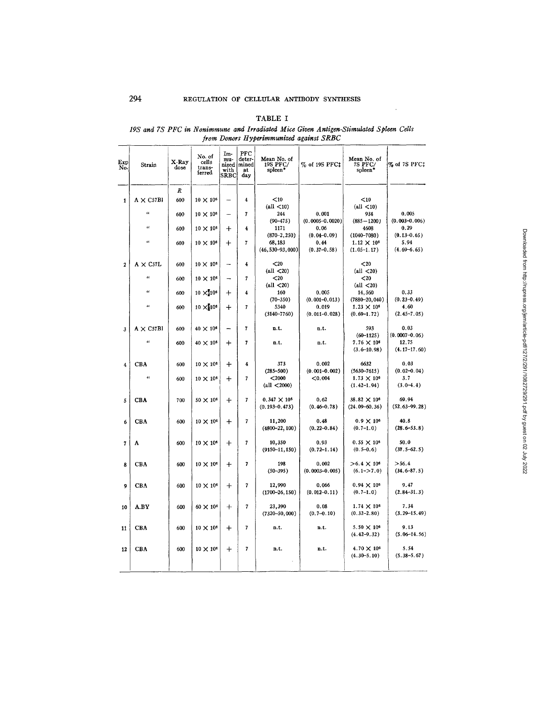# TABLE I

# *19S and 7S PFC in Nonimmune and Irradiated Mice Given Antigen-Stimulated Spleen Cells from Donors Ityperimmunized against SRBC*

| Exp<br>No.     | Strain           | X-Ray<br>dose | No. of<br>cells<br>trans-<br>ferred | Im-<br>mu-<br>nized<br>with<br>$_{\rm SREC}$ | PFC<br>deter-<br>mined<br>at<br>dav | Mean No. of<br>19S PFC/<br>spleen <sup>+</sup> | % of 19S PFC‡               | Mean No. of<br>7S PFC/<br>spleen*          | % of 7S PFC‡               |
|----------------|------------------|---------------|-------------------------------------|----------------------------------------------|-------------------------------------|------------------------------------------------|-----------------------------|--------------------------------------------|----------------------------|
|                |                  | R             |                                     |                                              |                                     |                                                |                             |                                            |                            |
| $\mathbf{1}$   | $A \times C57B1$ | 600           | $10 \times 10^6$                    | --                                           | $\overline{\mathbf{4}}$             | $10$                                           |                             | < 10                                       |                            |
|                |                  |               |                                     |                                              |                                     | (all $\langle 10 \rangle$                      |                             | $\left(\text{all} < 10\right)$             |                            |
|                | $\epsilon$       | 600           | $10 \times 10^6$                    | -                                            | 7                                   | 244                                            | 0.001                       | 934                                        | 0.005                      |
|                | $\alpha$         | 600           | $10 \times 10^6$                    | $\bm{+}$                                     | 4                                   | $(90 - 475)$<br>1171                           | $(0.0005 - 0.0020)$<br>0.06 | $(885 - 1200)$<br>4608                     | $(0.003 - 0.006)$<br>0.29  |
|                |                  |               |                                     |                                              |                                     | $(870 - 2, 250)$                               | $(0.04 - 0.09)$             | $(1040 - 7080)$                            | $(0.13 - 0.65)$            |
|                | 46               | 600           | $10 \times 10^6$                    | $\bm{+}$                                     | 7                                   | 68,183                                         | 0.44                        | $1.12 \times 10^{6}$                       | 5.94                       |
|                |                  |               |                                     |                                              |                                     | $(46, 530 - 93, 000)$                          | $(0.37 - 0.58)$             | $(1.05-1.17)$                              | $(4.69 - 6.65)$            |
| $\overline{2}$ | $A \times C57L$  | 600           | $10 \times 10^8$                    | -                                            | 4                                   | $20$                                           |                             | $20$                                       |                            |
|                |                  |               |                                     |                                              |                                     | (all $\langle 20 \rangle$                      |                             | (all $\langle 20 \rangle$                  |                            |
|                | $\epsilon$       | 600           | $10 \times 10^6$                    |                                              | 7                                   | $<$ 20                                         |                             | $20$                                       |                            |
|                | a                |               |                                     |                                              |                                     | (all $\langle 20 \rangle$                      |                             | $\left(\text{all} < 20\right)$             |                            |
|                |                  | 600           | $10 \times 10^{6}$                  | $\ddot{}$                                    | 4                                   | 160<br>$(70 - 350)$                            | 0.005<br>$(0.001 - 0.013)$  | 14,560<br>$(7880 - 20, 040)$               | 0.33<br>$(0.23 - 0.49)$    |
|                | $\epsilon$       | 600           | $10 \times 10^{6}$                  | $\div$                                       | 7                                   | 5340                                           | 0.019                       | $1.23 \times 10^{5}$                       | 4.60                       |
|                |                  |               |                                     |                                              |                                     | $(3140 - 7760)$                                | $(0.011 - 0.028)$           | $(0.69 - 1.72)$                            | $(2, 45 - 7, 05)$          |
|                |                  |               |                                     |                                              |                                     |                                                |                             |                                            | 0.03                       |
| 3              | $A \times C57B1$ | 600           | $40 \times 10^6$                    | -                                            | 7                                   | n.t.                                           | n.t.                        | 593<br>$(60-1125)$                         | $(0.0007 - 0.06)$          |
|                | $\epsilon$       | 600           | $40 \times 10^6$                    | $\div$                                       | 7                                   | n.t.                                           | n.t.                        | $7.76 \times 10^{6}$                       | 12.75                      |
|                |                  |               |                                     |                                              |                                     |                                                |                             | $(3.6 - 10.98)$                            | $(4.17 - 17.60)$           |
|                |                  |               |                                     |                                              |                                     |                                                |                             |                                            |                            |
| 4              | CBA              | 600           | $10 \times 10^8$                    | $\boldsymbol{+}$                             | 4                                   | 373<br>$(285 - 500)$                           | 0.002<br>$(0.001 - 0.002)$  | 6632<br>$(5630 - 7615)$                    | 0.03<br>$(0.02 - 0.04)$    |
|                | $\alpha$         | 600           | $10 \times 10^6$                    | $\mathrm{+}$                                 | 7                                   | $2000$                                         | ${<}0.004$                  | $1.73 \times 10^{6}$                       | 3.7                        |
|                |                  |               |                                     |                                              |                                     | (all < 2000)                                   |                             | $(1.42 - 1.94)$                            | $(3.0-4.4)$                |
|                |                  |               |                                     |                                              |                                     |                                                |                             |                                            |                            |
| 5              | <b>CBA</b>       | 700           | $50 \times 10^6$                    | $\div$                                       | 7                                   | $0.347 \times 10^{6}$<br>$(0.193 - 0.473)$     | 0.62<br>$(0.46 - 0.78)$     | $38.82 \times 10^{6}$<br>$(24.09 - 60.36)$ | 69.94<br>$(52.63 - 99.28)$ |
|                |                  |               |                                     |                                              |                                     |                                                |                             |                                            |                            |
| 6              | <b>CBA</b>       | 600           | $10 \times 10^6$                    | $\mathrm{+}$                                 | 7                                   | 11,200                                         | 0.48                        | $0.9 \times 10^{6}$                        | 40.8                       |
|                |                  |               |                                     |                                              |                                     | $(4800 - 22, 100)$                             | $(0.22 - 0.84)$             | $(0.7-1.0)$                                | $(28.6 - 53.8)$            |
| 7              | A                | 600           | $10 \times 10^6$                    | ┿                                            | 7                                   | 10,350                                         | 0.93                        | $0.55 \times 10^{6}$                       | 50.0                       |
|                |                  |               |                                     |                                              |                                     | $(9150 - 11, 150)$                             | $(0.72 - 1.14)$             | $(0.5 - 0.6)$                              | $(37.5 - 62.5)$            |
|                |                  |               |                                     |                                              |                                     |                                                |                             |                                            |                            |
| 8              | CBA              | 600           | $10 \times 10^6$                    | $\pm$                                        | 7                                   | 198<br>$(50 - 395)$                            | 0.002<br>$(0,0003 - 0.005)$ | $>6.4 \times 10^{6}$<br>$(6.1 - > 7.0)$    | > 56.4<br>$(34.6 - 87.5)$  |
|                |                  |               |                                     |                                              |                                     |                                                |                             |                                            |                            |
| 9              | <b>CBA</b>       | 600           | $10 \times 10^6$                    | $\div$                                       | 7                                   | 12,990                                         | 0.066                       | $0.94 \times 10^{5}$                       | 9.47                       |
|                |                  |               |                                     |                                              |                                     | $(1700 - 26, 150)$                             | $(0.012 - 0.11)$            | $(0.7-1.0)$                                | $(2.84 - 31.3)$            |
|                | A.BY             | 600           | $60 \times 10^{6}$                  |                                              | 7                                   | 23,390                                         | 0.08                        | $1.74 \times 10^{6}$                       | 7.34                       |
| 10             |                  |               |                                     | $\mathrm{+}$                                 |                                     | $(7320 - 50, 000)$                             | $(0.7 - 0.10)$              | $(0.32 - 2.80)$                            | $(3.29 - 15.49)$           |
|                |                  |               |                                     |                                              |                                     |                                                |                             |                                            |                            |
| 11             | CBA              | 600           | $10 \times 10^8$                    | $\ddag$                                      | 7                                   | n.t.                                           | n.t.                        | $5.50 \times 10^{6}$                       | 9.13                       |
|                |                  |               |                                     |                                              |                                     |                                                |                             | $(4.42 - 9.32)$                            | $(5.06 - 14.56)$           |
| 12             | CBA              | 600           | $10 \times 10^6$                    | $\div$                                       | 7                                   | n.t.                                           | n.t.                        | $4.70 \times 10^{6}$                       | 5.54                       |
|                |                  |               |                                     |                                              |                                     |                                                |                             | $(4,30-5,10)$                              | $(5.38 - 5.67)$            |
|                |                  |               |                                     |                                              |                                     |                                                |                             |                                            |                            |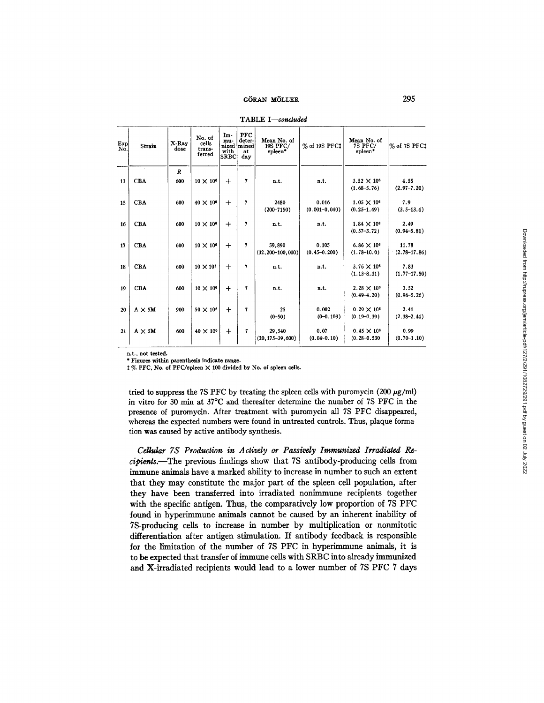| $_{\rm Exp}$<br>Nō. | Strain        | X-Ray<br>dose | No. of<br>cells<br>trans-<br>ferred | Im-<br>mu-<br>with<br><b>SRBC</b> | PFC<br>deter-<br>nized mined<br>at<br>day | Mean No. of<br>19S PFC/<br>spleen* | % of 19S PFC‡     | Mean No. of<br><b>7S PFC/</b><br>spleen* | % of 7S PFCt     |
|---------------------|---------------|---------------|-------------------------------------|-----------------------------------|-------------------------------------------|------------------------------------|-------------------|------------------------------------------|------------------|
|                     |               | R             |                                     |                                   |                                           |                                    |                   |                                          |                  |
| 13                  | <b>CBA</b>    | 600           | $10 \times 10^6$                    | $\div$                            | 7                                         | n.t.                               | n.t.              | $3.52 \times 10^{6}$                     | 4.55             |
|                     |               |               |                                     |                                   |                                           |                                    |                   | $(1.68 - 5.76)$                          | $(2.97 - 7.20)$  |
|                     |               |               |                                     |                                   |                                           |                                    |                   |                                          |                  |
| 15                  | <b>CBA</b>    | 600           | $40 \times 10^6$                    | $\ddot{}$                         | 7                                         | 2480                               | 0.016             | $1.05 \times 10^{6}$                     | 7.9              |
|                     |               |               |                                     |                                   |                                           | $(200 - 7150)$                     | $(0.001 - 0.040)$ | $(0.25 - 1.49)$                          | $(3.5 - 13.4)$   |
|                     |               |               |                                     |                                   |                                           |                                    |                   |                                          |                  |
| 16                  | <b>CBA</b>    | 600           | $10 \times 10^8$                    | $^{+}$                            | 7                                         | n.t.                               | n.t.              | $1.84 \times 10^{6}$                     | 2.49             |
|                     |               |               |                                     |                                   |                                           |                                    |                   | $(0.57 - 3.72)$                          | $(0.94 - 5.81)$  |
| 17                  | <b>CBA</b>    | 600           | $10 \times 10^6$                    | $^{+}$                            | $\overline{\phantom{a}}$                  | 59.890                             | 0.105             | $6.86 \times 10^{6}$                     | 11.78            |
|                     |               |               |                                     |                                   |                                           | $(32, 200 - 100, 000)$             | $(0.45 - 0.200)$  | $(1.78 - 10.0)$                          | $(2.78 - 17.86)$ |
|                     |               |               |                                     |                                   |                                           |                                    |                   |                                          |                  |
| 18                  | <b>CBA</b>    | 600           | $10 \times 10^6$                    | $+$                               | 7                                         | n.t.                               | n.t.              | $3.76 \times 10^{6}$                     | 7.83             |
|                     |               |               |                                     |                                   |                                           |                                    |                   | $(1.13 - 8.31)$                          | $(1.77 - 17.50)$ |
| 19                  | <b>CBA</b>    | 600           | $10 \times 10^6$                    | $\ddot{}$                         | 7                                         | n.t.                               | n.t.              | $2.28 \times 10^{6}$                     | 3.52             |
|                     |               |               |                                     |                                   |                                           |                                    |                   | $(0.49 - 4.20)$                          | $(0.96 - 5.26)$  |
|                     |               |               |                                     |                                   |                                           |                                    |                   |                                          |                  |
| 20                  | $A \times 5M$ | 900           | $50 \times 10^6$                    | $\ddot{+}$                        | $\overline{7}$                            | 25                                 | 0.002             | $0.29 \times 10^{6}$                     | 2.41             |
|                     |               |               |                                     |                                   |                                           | $(0 - 50)$                         | $(0 - 0.103)$     | $(0.19 - 0.39)$                          | $(2.38 - 2.44)$  |
|                     |               |               |                                     |                                   |                                           |                                    |                   |                                          |                  |
| 21                  | $A \times 5M$ | 600           | $40 \times 10^6$                    | $+$                               | 7                                         | 29.540                             | 0.07              | $0.45 \times 10^{6}$                     | 0.99             |
|                     |               |               |                                     |                                   |                                           | $(20, 175 - 39, 600)$              | $(0.04 - 0.10)$   | $(0.28 - 0.530)$                         | $(0.70 - 1.10)$  |
|                     |               |               |                                     |                                   |                                           |                                    |                   |                                          |                  |

TABLE *I--concluded* 

n.t., not tested.

\* Figures within parenthesis indicate range.

% PFC, No. of PFC/spleen X 100 divided by No. **of spleen cells.** 

tried to suppress the 7S PFC by treating the spleen cells with puromycin  $(200 \ \mu g/ml)$ in vitro for 30 min at 37°C and thereafter determine the number of 7S PFC in the presence of puromycin. After treatment with puromycin all 7S PFC disappeared, whereas the expected numbers were found in untreated controls. Thus, plaque formation was caused by active antibody synthesis.

*Cellular 7S Production in Actively or Passively Immunized Irradiated Recipients.--The* previous findings show that 7S antibody-producing cells from immune animals have a marked ability to increase in number to such an extent that they may constitute the major part of the spleen cell population, after they have been transferred into irradiated nonimmune recipients together with the specific antigen. Thus, the comparatively low proportion of 7S PFC found in hyperimmune animals cannot be caused by an inherent inability of 7S-producing cells to increase in number by multiplication or nonmitotic differentiation after antigen stimulation. If antibody feedback is responsible for the limitation of the number of 7S PFC in hyperimmune animals, it is to be expected that transfer of immune cells with SRBC into already immunized and X-irradiated recipients would lead to a lower number of 7S PFC 7 days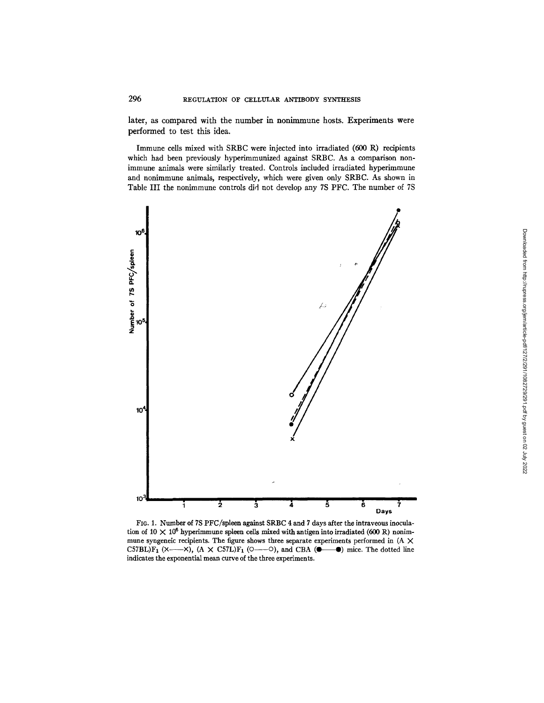later, as compared with the number in nonimmune hosts. Experiments were performed to test this idea.

Immune cells mixed with SRBC were injected into irradiated (600 R) recipients which had been previously hyperimmunized against SRBC. As a comparison nonimmune animals were similarly treated. Controls included irradiated hyperimmune and nonimmune animals, respectively, which were given only SRBC. As shown in Table III the nonimmune controls did not develop any 7S PFC. The number of 7S



FIG. 1. Number of 7S PFC/spleen against SRBC 4 and 7 days after the intraveous inoculation of 10  $\times$  10<sup>6</sup> hyperimmune spleen cells mixed with antigen into irradiated (600 R) nonimmune syngeneic recipients. The figure shows three separate experiments performed in  $(A \times$ C57BL)F<sub>1</sub> ( $\times$ — $\times$ ), (A  $\times$  C57L)F<sub>1</sub> ( $\circ$ — $\circ$ ), and CBA ( $\bullet$ — $\bullet$ ) mice. The dotted line indicates the exponential mean curve of the three experiments.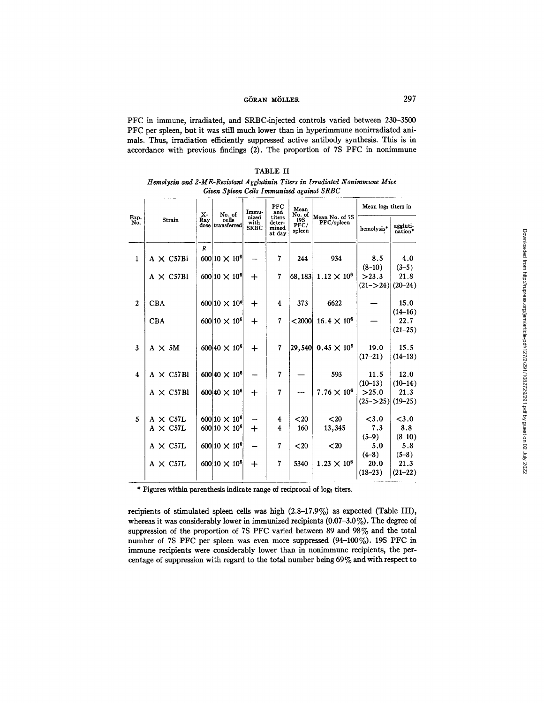PFC in immune, irradiated, and SRBC-injected controls varied between 230-3500 PFC per spleen, but it was still much lower than in hyperimmune nonirradiated animals. Thus, irradiation efficiently suppressed active antibody synthesis. This is in accordance with previous findings (2). The proportion of 7S PFC in nonimmune

|                         |                  |                | Given Spleen Cells Immunized against SRBC |                     |                           |                       |                      |                     |                     |
|-------------------------|------------------|----------------|-------------------------------------------|---------------------|---------------------------|-----------------------|----------------------|---------------------|---------------------|
| Exp.                    |                  | $\mathbf{x}$ - | No. of                                    | Immu-<br>nized      | PFC<br>and<br>titers      | Mean<br>No. of        | Mean No. of 7S       | Mean logs titers in |                     |
| No.                     | Strain           | Ray            | cells<br>dose transferred                 | with<br><b>SRBC</b> | deter-<br>mined<br>at dav | 19S<br>PFC/<br>spleen | PFC/spleen           | hemolysis*          | aggluti-<br>nation* |
|                         |                  | R              |                                           |                     |                           |                       |                      |                     |                     |
| $\mathbf{1}$            | $A \times C57B1$ |                | 600 10 $\times$ 10 <sup>6</sup>           |                     | 7                         | 244                   | 934                  | 8.5                 | 4.0                 |
|                         |                  |                |                                           |                     |                           |                       |                      | $(8-10)$            | $(3-5)$             |
|                         | $A \times C57B1$ |                | $600 10 \times 10^6$                      | $\mathrm{+}$        | 7                         | 68,183                | $1.12 \times 10^{6}$ | >23.3               | 21.8                |
|                         |                  |                |                                           |                     |                           |                       |                      | $(21 - > 24)$       | $(20-24)$           |
| $\mathbf{2}$            | <b>CBA</b>       |                | $600 10 \times 10^{6}$                    | ┿                   | 4                         | 373                   | 6622                 |                     | 15.0                |
|                         |                  |                |                                           |                     |                           |                       |                      |                     | $(14-16)$           |
|                         | <b>CBA</b>       |                | $600 10 \times 10^6$                      | $\div$              | $\overline{7}$            | $<$ 2000              | $16.4 \times 10^{6}$ |                     | 22.7                |
|                         |                  |                |                                           |                     |                           |                       |                      |                     | $(21 - 25)$         |
| 3                       | $A \times 5M$    |                | $600 40 \times 10^6$                      | $\div$              | 7                         | $\left 29,540\right $ | $0.45 \times 10^{6}$ | 19.0                | 15.5                |
|                         |                  |                |                                           |                     |                           |                       |                      | $(17-21)$           | $(14-18)$           |
|                         |                  |                |                                           |                     |                           |                       |                      |                     |                     |
| $\overline{\mathbf{4}}$ | $A \times C57B1$ |                | $600 40 \times 10^6$                      |                     | 7                         |                       | 593                  | 11.5                | 12.0                |
|                         |                  |                |                                           |                     |                           |                       |                      | $(10-13)$           | $(10-14)$           |
|                         | $A \times C57B1$ |                | $600 40 \times 10^6$                      | $\div$              | 7                         |                       | $7.76 \times 10^{6}$ | >25.0               | 21.3                |
|                         |                  |                |                                           |                     |                           |                       |                      | $(25 - 25)$         | $(19 - 25)$         |
| 5                       | $A \times C57L$  |                | $600 10 \times 10^6$                      |                     | 4                         | $20$                  | $20$                 | < 3.0               | < 3.0               |
|                         | $A \times C57L$  |                | $600 10 \times 10^6$                      | $+$                 | 4                         | 160                   | 13,345               | 7.3                 | 8.8                 |
|                         |                  |                |                                           |                     |                           |                       |                      | $(5-9)$             | $(8-10)$            |
|                         | $A \times C57L$  |                | $600 10 \times 10^6$                      |                     | 7                         | $20$                  | $20$                 | 5.0                 | 5.8                 |
|                         |                  |                |                                           |                     |                           |                       |                      | $(4-8)$             | $(5-8)$             |
|                         | $A \times C57L$  |                | $600 10 \times 10^6$                      | $\div$              | 7                         | 5340                  | $1.23 \times 10^{6}$ | 20.0                | 21.3                |
|                         |                  |                |                                           |                     |                           |                       |                      | $(18-23)$           | $(21-22)$           |
|                         |                  |                |                                           |                     |                           |                       |                      |                     |                     |

TABLE II *Hemolysin and 2-ME-Resistant A gglutinin Tilers in Irradiated Nonimmune Mice* 

\* Figures within parenthesis indicate range of reciprocal of log<sub>2</sub> titers.

recipients of stimulated spleen cells was high (2.8-17.9%) as expected (Table III), whereas it was considerably lower in immunized recipients (0.07-3.0%). The degree of suppression of the proportion of 7S PFC varied between 89 and 98% and the total number of 7S PFC per spleen was even more suppressed (94-100%). 19S PFC in immune recipients were considerably lower than in nonimmune recipients, the percentage of suppression with regard to the total number being 69% and with respect to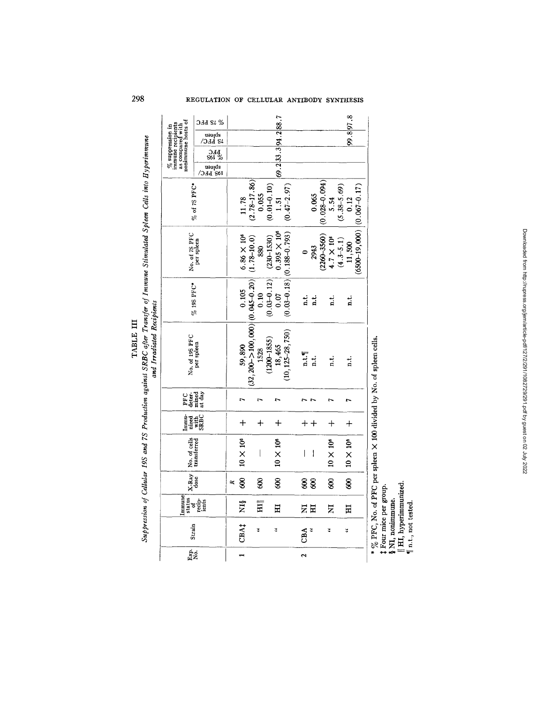|                                                                                                                                                                                            | S 7S PFC                                                                                   |                  |                                         |                           |                 | 69.233.394.288.7      |                                   |                          |                                |                   |                     |                 | 99.897.8         |                                |
|--------------------------------------------------------------------------------------------------------------------------------------------------------------------------------------------|--------------------------------------------------------------------------------------------|------------------|-----------------------------------------|---------------------------|-----------------|-----------------------|-----------------------------------|--------------------------|--------------------------------|-------------------|---------------------|-----------------|------------------|--------------------------------|
| as compared with<br>nonimmune hosts of<br>$\%$ suppression in immune recipients                                                                                                            | $\frac{\text{ab}}{\text{2b}}$ SLC/                                                         |                  |                                         |                           |                 |                       |                                   |                          |                                |                   |                     |                 |                  |                                |
|                                                                                                                                                                                            | 314<br>SI 26<br>S6I                                                                        |                  |                                         |                           |                 |                       |                                   |                          |                                |                   |                     |                 |                  |                                |
|                                                                                                                                                                                            | abjeen<br>102 BEC\                                                                         |                  |                                         |                           |                 |                       |                                   |                          |                                |                   |                     |                 |                  |                                |
|                                                                                                                                                                                            | $%$ of 7S PFC*                                                                             |                  |                                         | $(2.78 - 17.86)$<br>0.055 | $(0.01 - 0.10)$ | 1.51                  | $(0.47 - 2.97)$                   |                          | 0.065                          | $(0.028 - 0.094)$ | 5.54                | $(5.38 - 5.69)$ | 0.12             |                                |
| No. of 7S PFC                                                                                                                                                                              | per spleen                                                                                 |                  | $6.86 \times 10^{6}$<br>$(1.78 - 10.0)$ | 880                       | $(230 - 1530)$  | $0.395 \times 10^{6}$ | $(0.03 - 0.18)$ $(0.188 - 0.793)$ |                          | 2943                           | $(2260 - 3560)$   | $4.7 \times 10^{6}$ | $(4.3 - 5.1)$   | 11,500           | $(6500-19,000)$ $(0.067-0.17)$ |
|                                                                                                                                                                                            | % 19S PFC*                                                                                 | 0.105            |                                         | 0.10                      | $(0.03 - 0.12)$ | 0.07                  |                                   | ند<br>¤                  | $\vec{a}$                      |                   | i.<br>E             |                 | i.<br>E          |                                |
| No. of 19S PFC                                                                                                                                                                             | per spleen                                                                                 | 59,890           | $(32, 200-2100, 000)$ $(0.045-0.20)$    | 1528                      | $(1200 - 1855)$ | 18,465                | $(10, 125 - 28, 750)$             | n.t.                     | $\ddot{a}$                     |                   | i.<br>E             |                 | $\frac{1}{n}$    |                                |
| deter-<br>PFC                                                                                                                                                                              | mined<br>at day                                                                            | 1                |                                         | r,                        |                 | n                     |                                   |                          |                                |                   |                     |                 |                  |                                |
| $\begin{array}{c}\n\hline\n\text{m}^{\text{1}}\text{1} & \text{1} \\ \hline\n\text{m}^{\text{1}}\text{1} & \text{1} \\ \text{m}^{\text{1}}\text{1} & \text{1} \\ \text{SBBC}\n\end{array}$ |                                                                                            | $\ddag$          |                                         | $+$                       |                 | $+$                   |                                   |                          | $\boldsymbol{+}\boldsymbol{+}$ |                   | ┿                   |                 | $^{+}$           |                                |
| No. of cells                                                                                                                                                                               |                                                                                            | $10 \times 10^6$ |                                         | $\bigg $                  |                 | $10 \times 10^6$      |                                   | $\overline{\phantom{a}}$ | $\overline{\phantom{a}}$       |                   | $10 \times 10^6$    |                 | $10 \times 10^6$ |                                |
| $X$ -Ray                                                                                                                                                                                   |                                                                                            | 8<br>$\approx$   |                                         | 8                         |                 | 8                     |                                   | 8                        | 8                              |                   | g                   |                 | 8                |                                |
| Immune                                                                                                                                                                                     | $\begin{array}{c}\n\text{status} \\ \text{of} \\ \text{recip} \\ \text{inms}\n\end{array}$ | ΧIβ              |                                         | $\overline{H}$            |                 | Ξ                     |                                   | Z                        | Ħ                              |                   | Z                   |                 | Ξ                |                                |
| Strain                                                                                                                                                                                     |                                                                                            | CBA <sub>1</sub> |                                         | 3                         |                 | 4                     |                                   | CBA                      | ¥,                             |                   | ¥                   |                 | 4                |                                |
| $\frac{1}{N}$                                                                                                                                                                              |                                                                                            |                  |                                         |                           |                 |                       |                                   | $\mathbf{\hat{z}}$       |                                |                   |                     |                 |                  |                                |

**!**   $\sim$ TABLE III

 $$\mathfrak{X}$  Four mice per group.<br> $$\mathfrak{X}$  M, nonimmune.<br> $[\mathfrak{I} \mathfrak{I}, \mathfrak{h}$ yperimmunized.<br> $\P$  n.t., not tested.

**298** REGULATION OF CELLULAR ANTIBODY SYNTHESIS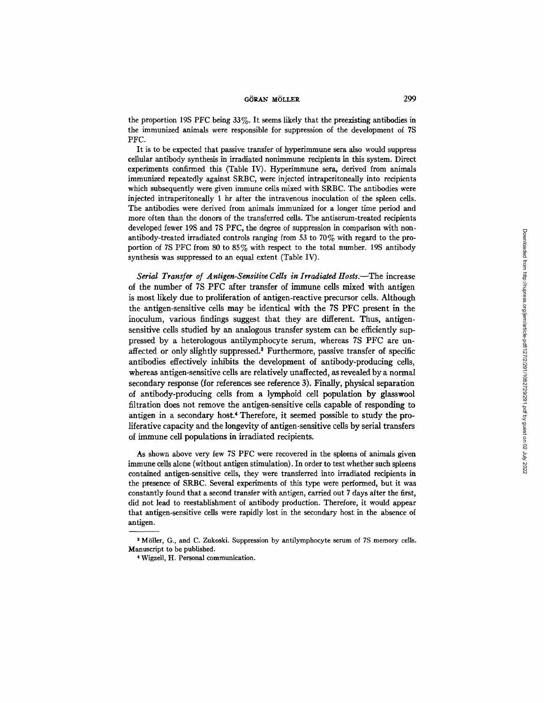the proportion 19S PFC being 33%. It seems likely that the preexisting antibodies in the immunized animals were responsible for suppression of the development of 7S PFC.

It is to be expected that passive transfer of hyperimmune sera also would suppress cellular antibody synthesis in irradiated nonimmune recipients in this system. Direct experiments confirmed this (Table IV). Hyperimmune sera, derived from animals immunized repeatedly against SRBC, were injected intraperitoneally into recipients which subsequently were given immune cells mixed with SRBC. The antibodies were injected intraperitoneally 1 hr after the intravenous inoculation of the spleen ceils. The antibodies were derived from animals immunized for a longer time period and more often than the donors of the transferred cells. The antiserum-treated recipients developed fewer 19S and 7S PFC, the degree of suppression in comparison with nonantibody-treated irradiated controls ranging from 53 to 70% with regard to the proportion of 7S PFC from 80 to 85% with respect to the total number. 19S antibody synthesis was suppressed to an equal extent (Table IV).

*Serial Transfer of Antigen-Sensitive Cells in Irradiated Hosts.*—The increase of the number of 7S PFC after transfer of immune cells mixed with antigen is most likely due to proliferation of antigen-reactive precursor ceils. Although the antigen-sensitive cells may be identical with the 7S PFC present in the inoculum, various findings suggest that they are different. Thus, antigensensitive cells studied by an analogous transfer system can be efficiently suppressed by a heterologous antilymphocyte serum, whereas 7S PFC are unaffected or only slightly suppressed? Furthermore, passive transfer of specific antibodies effectively inhibits the development of antibody-producing cells, whereas antigen-sensitive cells are relatively unaffected, as revealed by a normal secondary response (for references see reference 3). Finally, physical separation of antibody-producing cells from a lymphoid cell population by glasswool filtration does not remove the antigen-sensitive cells capable of responding to antigen in a secondary host.<sup>4</sup> Therefore, it seemed possible to study the proliferative capacity and the longevity of antigen-sensitive cells by serial transfers of immune cell populations in irradiated recipients.

As shown above very few 7S PFC were recovered in the spleens of animals given immune cells alone (without antigen stimulation). In order to test whether such spleens contained antigen-sensitive ceils, they were transferred into irradiated recipients in the presence of SRBC. Several experiments of this type were performed, but it was constantly found that a second transfer with antigen, carried out 7 days after the first, did not lead to reestablishment of antibody production. Therefore, it would appear that antigen-sensitive cells were rapidly lost in the secondary host in the absence of antigen.

<sup>&</sup>lt;sup>3</sup> Möller, G., and C. Zukoski. Suppression by antilymphocyte serum of 7S memory cells. Manuscript to be published.

<sup>4</sup> Wigzell, H. Personal communication.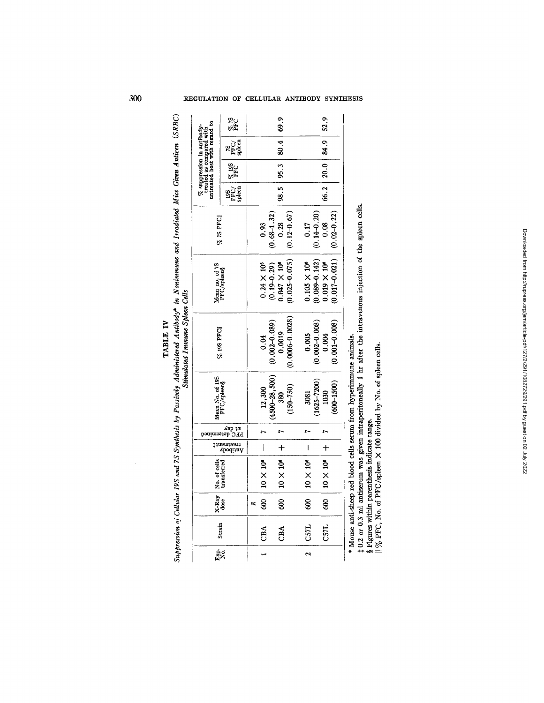|                                |                                                                                                | 84 70<br>PFC                                                                |        |                    |                 | 69.9                  |                   |                       |                   | 52.9                |                                                                    |  |
|--------------------------------|------------------------------------------------------------------------------------------------|-----------------------------------------------------------------------------|--------|--------------------|-----------------|-----------------------|-------------------|-----------------------|-------------------|---------------------|--------------------------------------------------------------------|--|
|                                | $\frac{\%}{\%}$ suppression in antibody-treated as compared with untreated host with regard to | )<br>PHO<br>Shem                                                            |        |                    |                 | 80.4                  |                   |                       |                   | 20.0   84.9         |                                                                    |  |
|                                |                                                                                                | $\frac{\%~195}{\mathrm{PFC}}$                                               |        |                    |                 | 98.5   95.3           |                   |                       |                   |                     |                                                                    |  |
|                                |                                                                                                | $\begin{array}{c}\n 195 \\  \hline\n \text{PFC} \\\text{green} \end{array}$ |        |                    |                 |                       |                   |                       |                   | 66.2                |                                                                    |  |
|                                | % 75 PFC                                                                                       |                                                                             | 0.93   | $(0.68 - 1.32)$    | 0.28            | $(0.12 - 0.67)$       | 0.17              | $(0.14 - 0.20)$       | 0.08              | $(0.02 - 0.22)$     |                                                                    |  |
|                                | Mean no. of 7S<br>PFC/spleen§                                                                  |                                                                             |        | $0.24\times10^6$   | $(0.19 - 0.29)$ | $0.047 \times 10^{6}$ | $(0.025 - 0.075)$ | $0.105 \times 10^{6}$ | $(0.089 - 0.142)$ | $0.019 \times 10^6$ | $(0.017 - 0.021)$                                                  |  |
| Stimulated Immune Spleen Cells | % 19S PFC                                                                                      |                                                                             | 0.04   | $(0.002 - 0.089)$  | 0.0019          | $(0.0006 - 0.0028)$   | 0.005             | $(0.002 - 0.008)$     | 0.004             | $(0.001 - 0.008)$   |                                                                    |  |
|                                | Mean No. of 19S<br>PFC/splen§                                                                  |                                                                             | 12,300 | $(4500 - 28, 500)$ | 380             | $(150 - 750)$         | 3081              | $(1625 - 7200)$       | 1030              | $(600 - 1500)$      | * Mouse anti-sheep red blood cells serum from hyperimmune animals. |  |
|                                | etermined                                                                                      | лер 18<br>ыc                                                                |        |                    |                 |                       |                   |                       |                   |                     |                                                                    |  |
|                                |                                                                                                | t teatment‡<br>Vntibody                                                     |        |                    |                 |                       |                   | $\mathbf{I}$          |                   | $+$                 |                                                                    |  |
|                                | No. of cells  <br>transferred                                                                  |                                                                             |        | $10 \times 10^{6}$ |                 | $10 \times 10^6$ +    |                   | $10\times10^6$        |                   | $10 \times 10^{6}$  |                                                                    |  |
|                                | $X$ -Ray                                                                                       |                                                                             | Ŕ,     | 88                 |                 | g                     |                   | g                     |                   | 8                   |                                                                    |  |
|                                | Strain                                                                                         |                                                                             |        | $ $ CBA            |                 | CBA                   |                   | <b>C57L</b>           |                   | CS7L                |                                                                    |  |
|                                | g.<br>Ngj                                                                                      |                                                                             |        |                    |                 |                       |                   | $\ddot{\phantom{1}}$  |                   |                     |                                                                    |  |

Suppression of Cellular 19S and 7S Synthesis by Passively Administered Antibody\* in Nontimmune and Irradiated Mice Given Antieen (SRBC) TABLE IV

o °~ o **i** 

 $\mathbf{H} \times \mathbf{E}$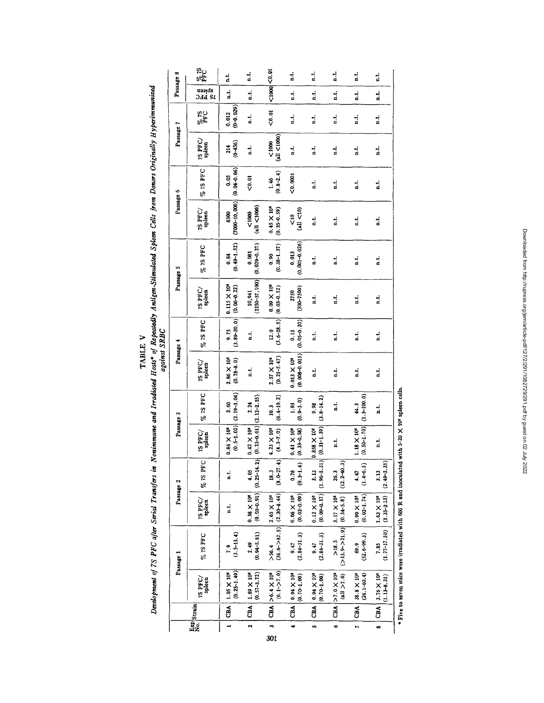TABLE V<br>Development of 75 PFC after Serial Transfers in Nonimume and Irradiated of Repeatedly Antigen-Stimulated Spleen Cells from Donors Originally Hyperimmunized<br>against SRBC

| Passage 8 | 85 13<br>PFC<br>spleen<br>DAT BL | a.t.<br>i                                | ti.<br>1.4                                          | $<$ 1000 $ <$ 0.01                                    | ı.<br>i                                             | $\frac{1}{2}$<br>i.                                     | i<br>a.t.                                          | ti<br>A<br>نہ<br>آ                        | i.<br>i.                                  |
|-----------|----------------------------------|------------------------------------------|-----------------------------------------------------|-------------------------------------------------------|-----------------------------------------------------|---------------------------------------------------------|----------------------------------------------------|-------------------------------------------|-------------------------------------------|
|           | $\frac{9}{2}$ <sub>26</sub>      | $(0 - 0.029)$<br>0.012                   | ن<br>a                                              | $0.01$                                                | i.<br>H                                             | ti<br>A                                                 | i                                                  | i.                                        | a.t.                                      |
| Passage 7 | $75~\mathrm{PFC}/$ spiesn        | $(0 - 156)$<br>214                       | i.<br>E                                             | (a   < 1000)<br>0000                                  | 1. t                                                | i.                                                      | ı.                                                 | نه<br>ف                                   | i.<br>A                                   |
|           | % 75 PFC                         | $(0.04 - 0.06)$<br>0.05                  | $\frac{5}{2}$                                       | $(0.8 - 2.4)$<br>1.46                                 | <0.0001                                             | d.                                                      | i                                                  | i.                                        | ند<br>¤                                   |
| Passage 6 | 7S PFC/<br>spleen                | $(7000 - 10, 000)$<br>8300               | (all < 1000)<br><1000                               | $0.45 \times 10^{6}$<br>$(0.35 - 0.59)$               | (11< 10)<br>V<br>2                                  | نه<br>a                                                 | i                                                  | i                                         | i                                         |
| Passage 5 | $%$ is PFC                       | $(0.49 - 1.52)$<br>0.84                  | $(0.029 - 0.27)$<br>0.081                           | $(0.38 - 1.37)$<br>0.90                               | $(0.001 - 0.026)$<br>0.013                          | ă                                                       | ı.                                                 | i.                                        | i.                                        |
|           | 7S PFC/<br>spleen                | $0.115 \times 10^{6}$<br>$(0.06 - 0.22)$ | $(2250-37,100)$<br>10,941                           | $0.09 \times 10^{6}$<br>$(0.03 - 0.12)$               | $(500 - 7500)$<br>2750                              | a.t.                                                    | 吉                                                  | نہ<br>a                                   | i.                                        |
| Passage 4 | % 7S PFC                         | $(3.89 - 20.0)$<br>9.75                  | نه<br>ه                                             | $(3.6 - 28.5)$<br>12.0                                | $(0.05 - 0.20)$<br>0.13                             | d.                                                      | i.                                                 | i                                         | i.<br>R                                   |
|           | $75$ PFC/<br>spleta              | $(0.78 - 8.0)$<br>2.86 X 10 <sup>6</sup> | ن.<br>a                                             | $(0.21 - 5.47)$<br>$2.57 \times 10^{6}$               | $(0.008 - 0.015)$<br>$0.013 \times 10^{6}$          | نه<br>a                                                 | i.                                                 | نه<br>و                                   | i.<br>E                                   |
| Passage 3 | % 75 PFC                         | $(0.5 - 1.02)$ $(2.19 - 3.04)$<br>2.60   | 2.24                                                | $(6.4 - 19.2)$<br>10.3                                | $(0.9 - 3.0)$<br>1.93                               | $(3.8 - 14.2)$<br>9.98                                  | i                                                  | $(1.3 - 100.0)$<br>44.3                   | a.t.                                      |
|           | 7S PFC<br>spleen                 | $0.84 \times 10^{6}$                     | $(0.23 - 0.61)[(2.12 - 2.35)$<br>$0.42 \times 10^6$ | $(4.3 - 7.0)$<br>$4.23 \times 10^{6}$                 | $0.41 \times 10^{6}$<br>$(0.33 - 0.58)$             | $(0.31 - 1.39)$<br>$0.858 \times 10^{6}$                | a.                                                 | $(0.50 - 1.70)$<br>1.18 X 10 <sup>6</sup> | n.t                                       |
| Passage 2 | % 75 PFC                         | ti<br>d                                  | $(0.25 - 14.2)$<br>4.05                             | $(8.0 - 27.4)$<br>18.3                                | $(0.3 - 1.4)$<br>0.78                               | 3.13                                                    | $(12.2 - 40.3)$<br>26.3                            | $(1.4 - 6.5)$<br>4.47                     | $(2.49 - 3.35)$<br>3.13                   |
|           | $75$ PFC<br>spleen               | i.                                       | $(0.03 - 0.91)$<br>$0.38 \times 10^{6}$             | $(34.6 - 5)(2.5)(2.36 - 4.4)$<br>$2.65 \times 10^{6}$ | $(0.02 - 0.09)$<br>$0.06 \times 10^{6}$             | $(0.09 - 0.17)$ $(1.96 - 5.31)$<br>$0.12 \times 10^{6}$ | 3.17 X 10 <sup>6</sup>                             | $(0.02 - 1.74)$<br>$0.90 \times 10^{6}$   | $1.63 \times 10^6$                        |
| Passage 1 | $\%$ 7S PFC                      | $(3.5 - 13.4)$<br>$\ddot{ }$             | $(0.94 - 5.81)$<br>2.49                             | > 56.4                                                | $(2.84 - 31.3)$<br>9.47                             | $(2.84 - 31.3)$<br>9.47                                 | $(2.13.9 - 21.9)$ $(0.54 - 5.8)$<br>$>18.5$        | $(52.6 - 99.3)$<br>69.9                   | $(1.77-17.50)$ $(1.35-2.13)$<br>7.85      |
|           | 7S PFC<br>spleen                 | $(0.25 - 1.49)$<br>$1.05 \times 10^6$    | $(0.57 - 3.72)$<br>CBA 1.89 X 10 <sup>6</sup>       | $(6.1 - 27.0)$<br>CBA >6.4 X 10 <sup>6</sup>          | $4  $ CBA $  0.94 \times 10^{6}$<br>$(0.70 - 1.00)$ | CBA 0.94 X 106<br>$(0.70 - 1.00)$                       | (d.1 > 7.0)<br>$CBA$ >7.0 $\times$ 10 <sup>6</sup> | $(24.1 - 60.4)$<br>38.8 X 10 <sup>6</sup> | CBA $3.76 \times 10^6$<br>$(1.13 - 8.31)$ |
|           | Exp Strain                       | $\overline{a}$                           |                                                     |                                                       |                                                     |                                                         |                                                    | $\frac{1}{2}$                             |                                           |
|           |                                  |                                          | $\overline{\phantom{a}}$                            | .,                                                    |                                                     | t.                                                      | $\overline{\phantom{0}}$                           | ь                                         | œ                                         |

x  $\chi^$ **o**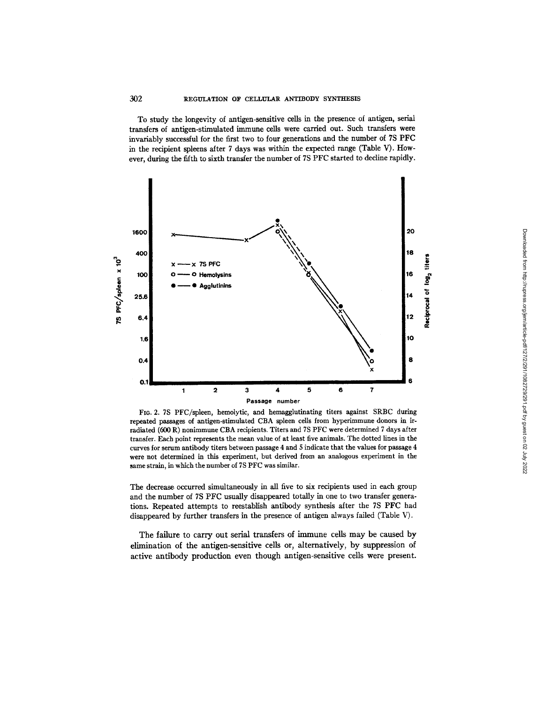To study the longevity of antigen-sensitive cells in the presence of antigen, serial transfers of antigen-stimulated immune cells were carried out. Such transfers were invariably successful for the first two to four generations and the number of 7S PFC in the recipient spleens after 7 days was within the expected range (Table V). However, during the fifth to sixth transfer the number of 7S PFC started to decline rapidly.



FIG. 2. 7S PFC/spleen, hemolytic, and hemagglutinating titers against SRBC during repeated passages of antigen-stimulated CBA spleen cells from hyperimmune donors in irradiated (600 R) nonimmune CBA recipients. Titers and 7S PFC were determined 7 days after transfer. Each point represents the mean value of at least five animals. The dotted lines in the curves for serum antibody titers between passage 4 and 5 indicate that the values for passage 4 were not determined in this experiment, but derived from an analogous experiment in the same strain, in which the number of 7S PFC was similar.

The decrease occurred simultaneously in all five to six recipients used in each group and the number of 7S PFC usually disappeared totally in one to two transfer generations. Repeated attempts to reestablish antibody synthesis after the 7S PFC had disappeared by further transfers in the presence of antigen always failed (Table V).

The failure to carry out serial transfers of immune cells may be caused by elimination of the antigen-sensitive cells or, alternatively, by suppression of active antibody production even though antigen-sensitive cells were present.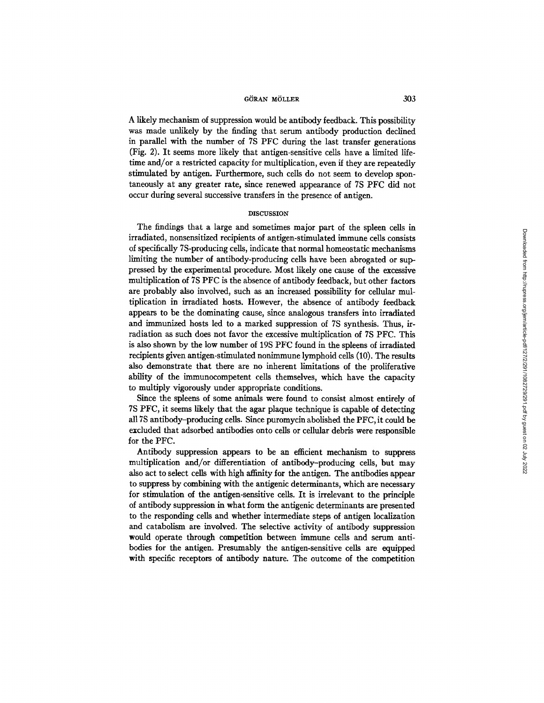A likely mechanism of suppression would be antibody feedback. This possibility was made unlikely by the finding that serum antibody production declined in parallel with the number of 7S PFC during the last transfer generations (Fig. 2). It seems more likely that antigen-sensitive cells have a limited lifetime and/or a restricted capacity for multiplication, even if they are repeatedly stimulated by antigen. Furthermore, such cells do not seem to develop spontaneously at any greater rate, since renewed appearance of 7S PFC did not occur during several successive transfers in the presence of antigen.

#### DISCUSSION

The findings that a large and sometimes major part of the spleen cells in irradiated, nonsensitized recipients of antigen-stimulated immune cells consists of specifically 7S-producing cells, indicate that normal homeostatic mechanisms limiting the number of antibody-producing cells have been abrogated or suppressed by the experimental procedure. Most likely one cause of the excessive multiplication of 7S PFC is the absence of antibody feedback, but other factors are probably also involved, such as an increased possibility for cellular multiplication in irradiated hosts. However, the absence of antibody feedback appears to be the dominating cause, since analogous transfers into irradiated and immunized hosts led to a marked suppression of 7S synthesis. Thus, irradiation as such does not favor the excessive multiplication of 7S PFC. This is also shown by the low number of 19S PFC found in the spleens of irradiated recipients given antigen-stimulated nonimmune lymphoid cells (10). The results also demonstrate that there are no inherent limitations of the proliferative ability of the immunocompetent cells themselves, which have the capacity to multiply vigorously under appropriate conditions.

Since the spleens of some animals were found to consist almost entirely of 7S PFC, it seems likely that the agar plaque technique is capable of detecting all 7S antibody-producing cells. Since puromycin abolished the PFC, it could be excluded that adsorbed antibodies onto cells or cellular debris were responsible for the PFC.

Antibody suppression appears to be an efficient mechanism to suppress multiplication and/or differentiation of antibody-producing cells, but may also act to select cells with high affinity for the antigen. The antibodies appear to suppress by combining with the antigenic determinants, which are necessary for stimulation of the antigen-sensitive cells. It is irrelevant to the principle of antibody suppression in what form the antigenic determinants are presented to the responding cells and whether intermediate steps of antigen localization and catabolism are involved. The selective activity of antibody suppression would operate through competition between immune cells and serum antibodies for the antigen. Presumably the antigen-sensitive cells are equipped with specific receptors of antibody nature. The outcome of the competition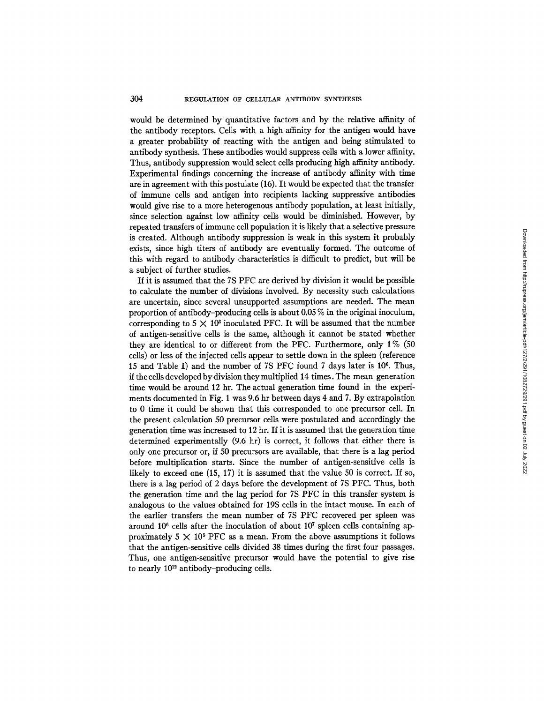## 304 REGULATION OF CELLULAR ANTIBODY SYNTHESIS

would be determined by quantitative factors and by the relative affanity of the antibody receptors. Cells with a high affinity for the antigen would have a greater probability of reacting with the antigen and being stimulated to antibody synthesis. These antibodies would suppress cells with a lower affinity. Thus, antibody suppression would select cells producing high affinity antibody. Experimental findings concerning the increase of antibody affinity with time are in agreement with this postulate (16). It would be expected that the transfer of immune cells and antigen into recipients lacking suppressive antibodies would give rise to a more heterogenous antibody population, at least initially, since selection against low affinity cells would be diminished. However, by repeated transfers of immune cell population it is likely that a selective pressure is created. Although antibody suppression is weak in this system it probably exists, since high titers of antibody are eventually formed. The outcome of this with regard to antibody characteristics is difficult to predict, but will be a subject of further studies.

If it is assumed that the 7S PFC are derived by division it would be possible to calculate the number of divisions involved. By necessity such calculations are uncertain, since several unsupported assumptions are needed. The mean proportion of antibody-producing cells is about 0.05 % in the original inoculum, corresponding to  $5 \times 10^3$  inoculated PFC. It will be assumed that the number of antigen-sensitive cells is the same, although it cannot be stated whether they are identical to or different from the PFC. Furthermore, only 1% (50 cells) or less of the injected cells appear to settle down in the spleen (reference 15 and Table I) and the number of 7S PFC found 7 days later is 106. Thus, if the cells developed by division they multiplied 14 times. The mean generation time would be around 12 hr. The actual generation time found in the experiments documented in Fig. 1 was 9.6 hr between days 4 and 7. By extrapolation to 0 time it could be shown that this corresponded to one precursor cell. In the present calculation 50 precursor cells were postulated and accordingly the generation time was increased to 12 hr. If it is assumed that the generation time determined experimentally (9.6 hr) is correct, it follows that either there is only one precursor or, if 50 precursors are available, that there is a lag period before multiplication starts. Since the number of antigen-sensitive cells is likely to exceed one (15, 17) it is assumed that the value 50 is correct. If so, there is a lag period of 2 days before the development of 7S PFC. Thus, both the generation time and the lag period for 7S PFC in this transfer system is analogous to the values obtained for 19S cells in the intact mouse. In each of the earlier transfers the mean number of 7S PFC recovered per spleen was around  $10^6$  cells after the inoculation of about  $10^7$  spleen cells containing approximately 5  $\times$  10<sup>5</sup> PFC as a mean. From the above assumptions it follows that the antigen-sensitive cells divided 38 times during the first four passages. Thus, one antigen-sensitive precursor would have the potential to give rise to nearly  $10^{12}$  antibody-producing cells.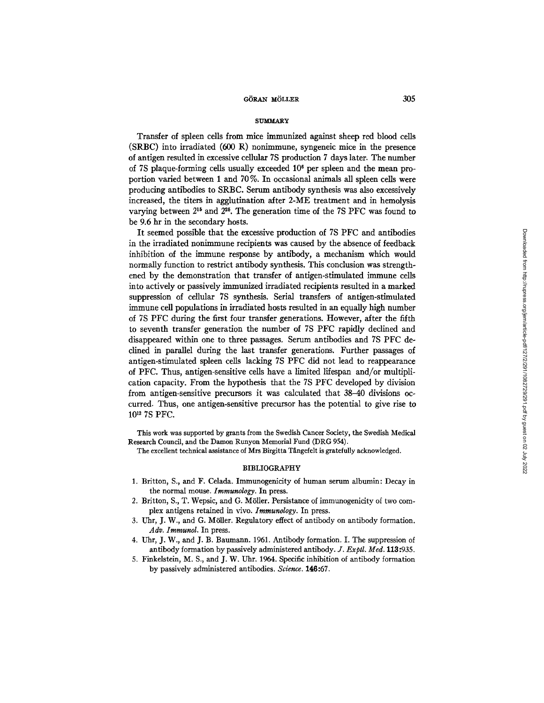#### SUMMARY

Transfer of spleen cells from mice immunized against sheep red blood cells (SRBC) into irradiated (600 R) nonimmune, syngeneic mice in the presence of antigen resulted in excessive cellular 7S production 7 days later. The number of 7S plaque-forming cells usually exceeded 106 per spleen and the mean proportion varied between 1 and 70 %. In occasional animals all spleen cells were producing antibodies to SRBC. Serum antibody synthesis was also excessively increased, the titers in agglutination after 2-ME treatment and in hemolysis varying between  $2^{15}$  and  $2^{25}$ . The generation time of the 7S PFC was found to be 9.6 hr in the secondary hosts.

It seemed possible that the excessive production of 7S PFC and antibodies in the irradiated nonimmune recipients was caused by the absence of feedback inhibition of the immune response by antibody, a mechanism which would normally function to restrict antibody synthesis. This conclusion was strengthened by the demonstration that transfer of antigen-stimulated immune cells into actively or passively immunized irradiated recipients resulted in a marked suppression of cellular 7S synthesis. Serial transfers of antigen-stimulated immune cell populations in irradiated hosts resulted in an equally high number of 7S PFC during the first four transfer generations. However, after the fifth to seventh transfer generation the number of 7S PFC rapidly declined and disappeared within one to three passages. Serum antibodies and 7S PFC declined in parallel during the last transfer generations. Further passages of antigen-stimulated spleen cells lacking 7S PFC did not lead to reappearance of PFC. Thus, antigen-sensitive cells have a limited lifespan and/or multiplication capacity. From the hypothesis that the 7S PFC developed by division from antigen-sensitive precursors it was calculated that 38-40 divisions occurred. Thus, one antigen-sensitive precursor has the potential to give rise to 10<sup>12</sup> 7S PFC.

This work was supported by grants from the Swedish Cancer Society, the Swedish Medical Research Council, and the Damon Runyon Memorial Fund (DRG 954).

The excellent technical assistance of Mrs Birgitta Tångefelt is gratefully acknowledged.

#### BIBLIOGRAPHY

- 1. Britton, S., and F. Celada. Immunogenicity of human serum albumin: Decay in the normal mouse. *Immunology.* In press.
- 2. Britton, S., T. Wepsic, and G. M611er. Persistance of immunogenicity of two complex antigens retained in vivo. *Immunology.* In press.
- 3. Uhr, J. W., and G. M611er. Regulatory effect of antibody on antibody formation. *Adv. Immunol.* In press.
- 4. Uhr, J. W., and J. B. Banmann. 1961. Antibody formation. I. The suppression of antibody formation by passively administered antibody. *J. Exptl. Med.* 118:935.
- 5. Finkelstein, M. S., and J. W. Uhr. 1964. Specific inhibition of antibody formation by passively administered antibodies. *Science.* **146:67.**